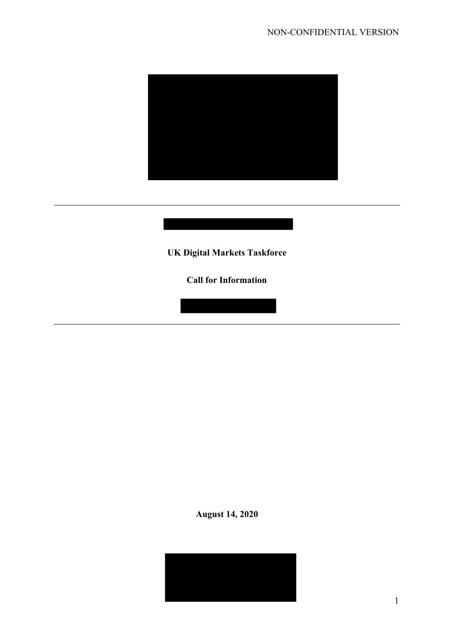

**UK Digital Markets Taskforce**

**Call for Information**

**August 14, 2020**

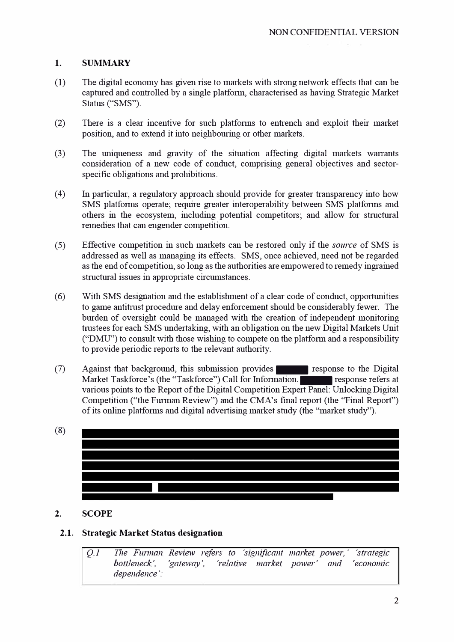## **1. SUMMARY**

- (1) The digital economy has given rise to markets with strong network effects that can be captured and controlled by a single platform, characterised as having Strategic Market Status ("SMS").
- (2) There is a clear incentive for such platfonns to entrench and exploit their market position, and to extend it into neighbouring or other markets.
- $(3)$  The uniqueness and gravity of the situation affecting digital markets warrants consideration of a new code of conduct, comprising general objectives and sectorspecific obligations and prohibitions.
- $(4)$  In particular, a regulatory approach should provide for greater transparency into how SMS platforms operate; require greater interoperability between SMS platforms and others in the ecosystem, including potential competitors; and allow for strnctural remedies that can engender competition.
- (5) Effective competition in such markets can be restored only if the *source* of SMS is addressed as well as managing its effects. SMS, once achieved, need not be regarded as the end of competition, so long as the authorities are empowered to remedy ingrained strnctural issues in appropriate circumstances.
- (6) With SMS designation and the establishment of a clear code of conduct, opportunities to game antitrust procedure and delay enforcement should be considerably fewer. The burden of oversight could be managed with the creation of independent monitoring trustees for each SMS undertaking, with an obligation on the new Digital Markets Unit (" $DMU$ ") to consult with those wishing to compete on the platform and a responsibility to provide periodic reports to the relevant authority.
- $(7)$  Against that background, this submission provides response to the Digital Market Taskforce's (the "Taskforce") Call for Information. The response refers at various points to the Report of the Digital Competition Expert Panel: Unlocking Digital Competition ("the Furman Review") and the CMA's final report (the "Final Report") of its online platforms and digital advertising market study (the "market study").
- (8)

# **2. SCOPE**

### **2.1. Strategic Market Status designation**

*Q.1 The Furman Review refers to 'significant market power,* ' *'strategic bottleneck', 'gateway', 'relative market power' and 'economic dependence':*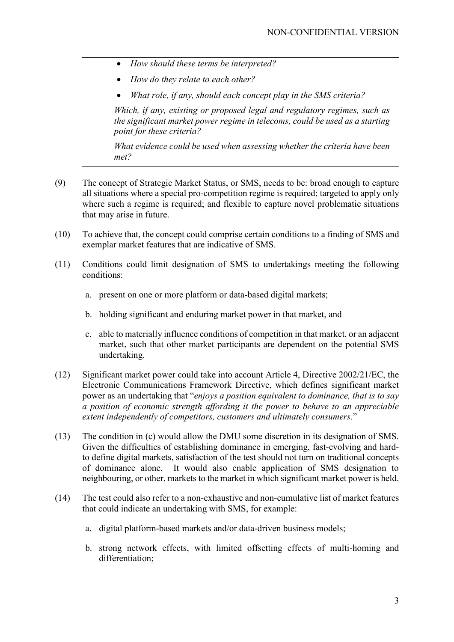- *How should these terms be interpreted?*
- *How do they relate to each other?*
- *What role, if any, should each concept play in the SMS criteria?*

*Which, if any, existing or proposed legal and regulatory regimes, such as the significant market power regime in telecoms, could be used as a starting point for these criteria?*

*What evidence could be used when assessing whether the criteria have been met?*

- (9) The concept of Strategic Market Status, or SMS, needs to be: broad enough to capture all situations where a special pro-competition regime is required; targeted to apply only where such a regime is required; and flexible to capture novel problematic situations that may arise in future.
- (10) To achieve that, the concept could comprise certain conditions to a finding of SMS and exemplar market features that are indicative of SMS.
- (11) Conditions could limit designation of SMS to undertakings meeting the following conditions:
	- a. present on one or more platform or data-based digital markets;
	- b. holding significant and enduring market power in that market, and
	- c. able to materially influence conditions of competition in that market, or an adjacent market, such that other market participants are dependent on the potential SMS undertaking.
- (12) Significant market power could take into account Article 4, Directive 2002/21/EC, the Electronic Communications Framework Directive, which defines significant market power as an undertaking that "*enjoys a position equivalent to dominance, that is to say a position of economic strength affording it the power to behave to an appreciable extent independently of competitors, customers and ultimately consumers.*"
- (13) The condition in (c) would allow the DMU some discretion in its designation of SMS. Given the difficulties of establishing dominance in emerging, fast-evolving and hardto define digital markets, satisfaction of the test should not turn on traditional concepts of dominance alone. It would also enable application of SMS designation to neighbouring, or other, markets to the market in which significant market power is held.
- (14) The test could also refer to a non-exhaustive and non-cumulative list of market features that could indicate an undertaking with SMS, for example:
	- a. digital platform-based markets and/or data-driven business models;
	- b. strong network effects, with limited offsetting effects of multi-homing and differentiation;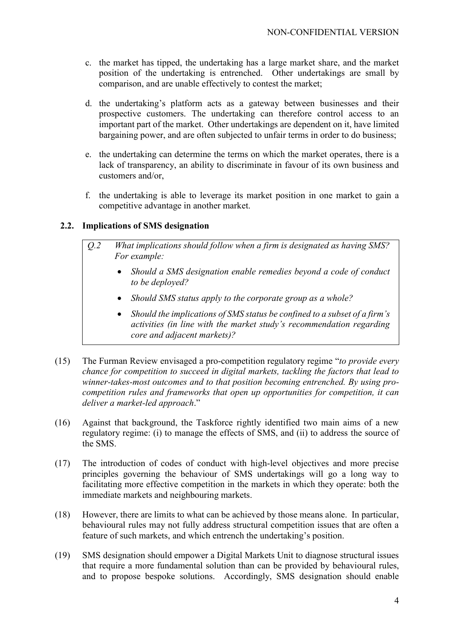- c. the market has tipped, the undertaking has a large market share, and the market position of the undertaking is entrenched. Other undertakings are small by comparison, and are unable effectively to contest the market;
- d. the undertaking's platform acts as a gateway between businesses and their prospective customers. The undertaking can therefore control access to an important part of the market. Other undertakings are dependent on it, have limited bargaining power, and are often subjected to unfair terms in order to do business;
- e. the undertaking can determine the terms on which the market operates, there is a lack of transparency, an ability to discriminate in favour of its own business and customers and/or,
- f. the undertaking is able to leverage its market position in one market to gain a competitive advantage in another market.

## **2.2. Implications of SMS designation**

- *Q.2 What implications should follow when a firm is designated as having SMS? For example:*
	- *Should a SMS designation enable remedies beyond a code of conduct to be deployed?*
	- *Should SMS status apply to the corporate group as a whole?*
	- *Should the implications of SMS status be confined to a subset of a firm's activities (in line with the market study's recommendation regarding core and adjacent markets)?*
- (15) The Furman Review envisaged a pro-competition regulatory regime "*to provide every chance for competition to succeed in digital markets, tackling the factors that lead to winner-takes-most outcomes and to that position becoming entrenched. By using procompetition rules and frameworks that open up opportunities for competition, it can deliver a market-led approach*."
- (16) Against that background, the Taskforce rightly identified two main aims of a new regulatory regime: (i) to manage the effects of SMS, and (ii) to address the source of the SMS.
- (17) The introduction of codes of conduct with high-level objectives and more precise principles governing the behaviour of SMS undertakings will go a long way to facilitating more effective competition in the markets in which they operate: both the immediate markets and neighbouring markets.
- (18) However, there are limits to what can be achieved by those means alone. In particular, behavioural rules may not fully address structural competition issues that are often a feature of such markets, and which entrench the undertaking's position.
- (19) SMS designation should empower a Digital Markets Unit to diagnose structural issues that require a more fundamental solution than can be provided by behavioural rules, and to propose bespoke solutions. Accordingly, SMS designation should enable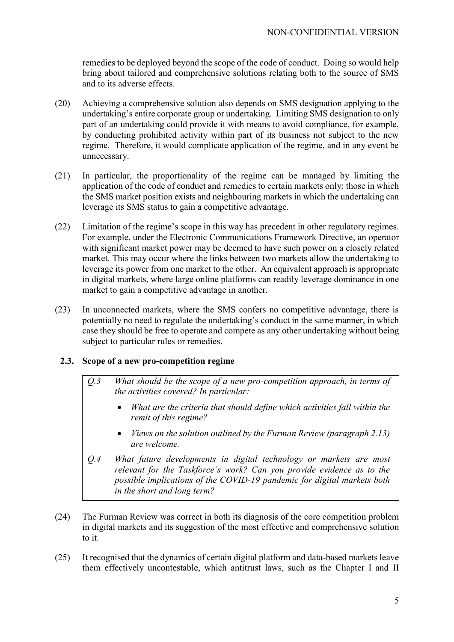remedies to be deployed beyond the scope of the code of conduct. Doing so would help bring about tailored and comprehensive solutions relating both to the source of SMS and to its adverse effects.

- (20) Achieving a comprehensive solution also depends on SMS designation applying to the undertaking's entire corporate group or undertaking. Limiting SMS designation to only part of an undertaking could provide it with means to avoid compliance, for example, by conducting prohibited activity within part of its business not subject to the new regime. Therefore, it would complicate application of the regime, and in any event be unnecessary.
- (21) In particular, the proportionality of the regime can be managed by limiting the application of the code of conduct and remedies to certain markets only: those in which the SMS market position exists and neighbouring markets in which the undertaking can leverage its SMS status to gain a competitive advantage.
- (22) Limitation of the regime's scope in this way has precedent in other regulatory regimes. For example, under the Electronic Communications Framework Directive, an operator with significant market power may be deemed to have such power on a closely related market. This may occur where the links between two markets allow the undertaking to leverage its power from one market to the other. An equivalent approach is appropriate in digital markets, where large online platforms can readily leverage dominance in one market to gain a competitive advantage in another.
- (23) In unconnected markets, where the SMS confers no competitive advantage, there is potentially no need to regulate the undertaking's conduct in the same manner, in which case they should be free to operate and compete as any other undertaking without being subject to particular rules or remedies.

### **2.3. Scope of a new pro-competition regime**

- *Q.3 What should be the scope of a new pro-competition approach, in terms of the activities covered? In particular:*
	- *What are the criteria that should define which activities fall within the remit of this regime?*
	- *Views on the solution outlined by the Furman Review (paragraph 2.13) are welcome.*
- *Q.4 What future developments in digital technology or markets are most relevant for the Taskforce's work? Can you provide evidence as to the possible implications of the COVID-19 pandemic for digital markets both in the short and long term?*
- (24) The Furman Review was correct in both its diagnosis of the core competition problem in digital markets and its suggestion of the most effective and comprehensive solution to it.
- (25) It recognised that the dynamics of certain digital platform and data-based markets leave them effectively uncontestable, which antitrust laws, such as the Chapter I and II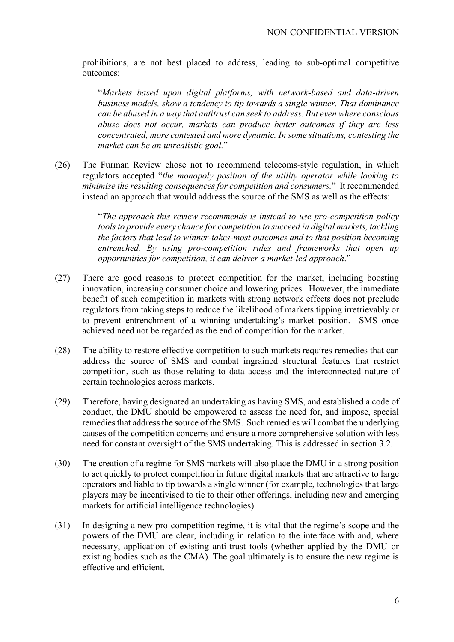prohibitions, are not best placed to address, leading to sub-optimal competitive outcomes:

"*Markets based upon digital platforms, with network-based and data-driven business models, show a tendency to tip towards a single winner. That dominance can be abused in a way that antitrust can seek to address. But even where conscious abuse does not occur, markets can produce better outcomes if they are less concentrated, more contested and more dynamic. In some situations, contesting the market can be an unrealistic goal.*"

(26) The Furman Review chose not to recommend telecoms-style regulation, in which regulators accepted "*the monopoly position of the utility operator while looking to minimise the resulting consequences for competition and consumers.*" It recommended instead an approach that would address the source of the SMS as well as the effects:

> "*The approach this review recommends is instead to use pro-competition policy tools to provide every chance for competition to succeed in digital markets, tackling the factors that lead to winner-takes-most outcomes and to that position becoming entrenched. By using pro-competition rules and frameworks that open up opportunities for competition, it can deliver a market-led approach*."

- (27) There are good reasons to protect competition for the market, including boosting innovation, increasing consumer choice and lowering prices. However, the immediate benefit of such competition in markets with strong network effects does not preclude regulators from taking steps to reduce the likelihood of markets tipping irretrievably or to prevent entrenchment of a winning undertaking's market position. SMS once achieved need not be regarded as the end of competition for the market.
- (28) The ability to restore effective competition to such markets requires remedies that can address the source of SMS and combat ingrained structural features that restrict competition, such as those relating to data access and the interconnected nature of certain technologies across markets.
- (29) Therefore, having designated an undertaking as having SMS, and established a code of conduct, the DMU should be empowered to assess the need for, and impose, special remedies that address the source of the SMS. Such remedies will combat the underlying causes of the competition concerns and ensure a more comprehensive solution with less need for constant oversight of the SMS undertaking. This is addressed in section 3.2.
- (30) The creation of a regime for SMS markets will also place the DMU in a strong position to act quickly to protect competition in future digital markets that are attractive to large operators and liable to tip towards a single winner (for example, technologies that large players may be incentivised to tie to their other offerings, including new and emerging markets for artificial intelligence technologies).
- (31) In designing a new pro-competition regime, it is vital that the regime's scope and the powers of the DMU are clear, including in relation to the interface with and, where necessary, application of existing anti-trust tools (whether applied by the DMU or existing bodies such as the CMA). The goal ultimately is to ensure the new regime is effective and efficient.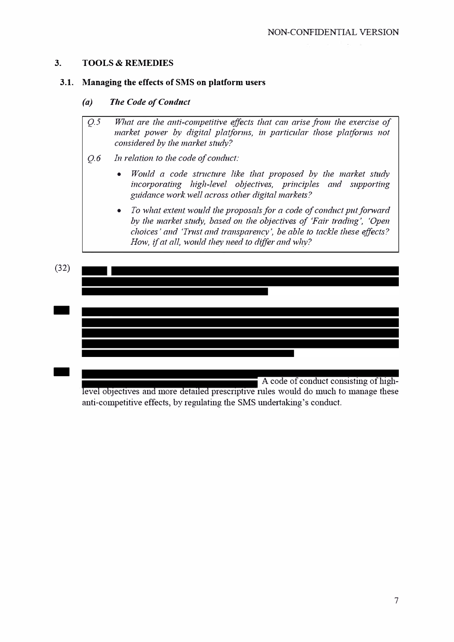#### **3. TOOLS & REMEDIES**

#### **3.1. Managing the effects of SMS on platform users**

#### *(a) The Code of Conduct*

- *Q.* 5 *What are the anti-competitive effects that can arise from the exercise of market power by digital platforms, in particular those platforms not considered by the market study?*
- *Q. 6 In relation to the code of conduct:*
	- *Would a code strncture like that proposed by the market study incorporating high-level objectives, principles and supporting guidance work well across other digital markets?*
	- *To what extent would the proposals for a code of conduct put forward by the market study, based on the objectives of 'Fair trading', 'Open choices' and 'Trnst and transparency', be able to tackle these effects? How, if at all, would they need to differ and why?*



level objectives and more detailed prescriptive mles would do much to manage these anti-competitive effects, by regulating the SMS undertaking's conduct.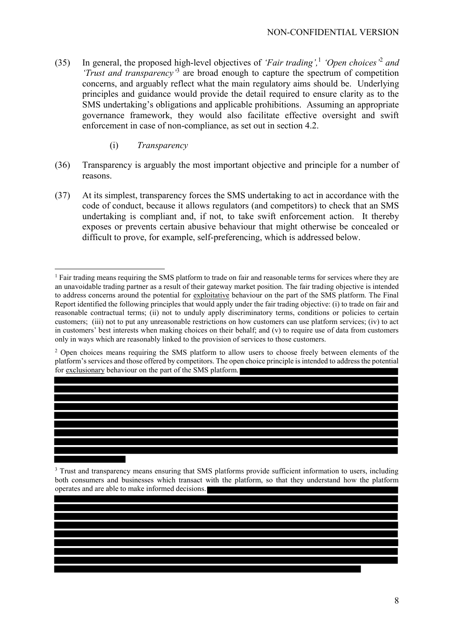- (35) In general, the proposed high-level objectives of *'Fair trading',*<sup>1</sup> *'Open choices'*<sup>2</sup> *and 'Trust and transparency'*<sup>3</sup> are broad enough to capture the spectrum of competition concerns, and arguably reflect what the main regulatory aims should be. Underlying principles and guidance would provide the detail required to ensure clarity as to the SMS undertaking's obligations and applicable prohibitions. Assuming an appropriate governance framework, they would also facilitate effective oversight and swift enforcement in case of non-compliance, as set out in section 4.2.
	- (i) *Transparency*
- (36) Transparency is arguably the most important objective and principle for a number of reasons.
- (37) At its simplest, transparency forces the SMS undertaking to act in accordance with the code of conduct, because it allows regulators (and competitors) to check that an SMS undertaking is compliant and, if not, to take swift enforcement action. It thereby exposes or prevents certain abusive behaviour that might otherwise be concealed or difficult to prove, for example, self-preferencing, which is addressed below.

<sup>&</sup>lt;sup>1</sup> Fair trading means requiring the SMS platform to trade on fair and reasonable terms for services where they are an unavoidable trading partner as a result of their gateway market position. The fair trading objective is intended to address concerns around the potential for exploitative behaviour on the part of the SMS platform. The Final Report identified the following principles that would apply under the fair trading objective: (i) to trade on fair and reasonable contractual terms; (ii) not to unduly apply discriminatory terms, conditions or policies to certain customers; (iii) not to put any unreasonable restrictions on how customers can use platform services; (iv) to act in customers' best interests when making choices on their behalf; and (v) to require use of data from customers only in ways which are reasonably linked to the provision of services to those customers.

<sup>&</sup>lt;sup>2</sup> Open choices means requiring the SMS platform to allow users to choose freely between elements of the platform's services and those offered by competitors. The open choice principle is intended to address the potential for exclusionary behaviour on the part of the SMS platform.

<sup>&</sup>lt;sup>3</sup> Trust and transparency means ensuring that SMS platforms provide sufficient information to users, including both consumers and businesses which transact with the platform, so that they understand how the platform operates and are able to make informed decisions.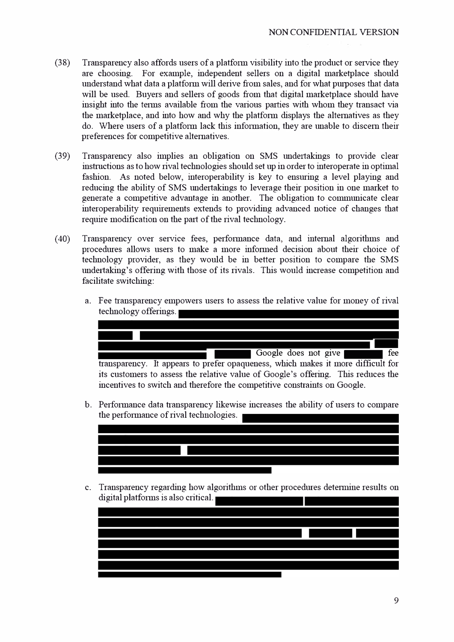- $(38)$  Transparency also affords users of a platform visibility into the product or service they are choosing. For example, independent sellers on a digital marketplace should understand what data a platform will derive from sales, and for what purposes that data will be used. Buyers and sellers of goods from that digital marketplace should have insight into the terms available from the various parties with whom they transact via the marketplace, and into how and why the platform displays the alternatives as they do. Where users of a platform lack this information, they are unable to discern their preferences for competitive alternatives.
- (39) Transparency also implies an obligation on SMS undertakings to provide clear instructions as to how rival technologies should set up in order to interoperate in optimal fashion. As noted below, interoperability is key to ensuring a level playing and reducing the ability of SMS undertakings to leverage their position in one market to generate a competitive advantage in another. The obligation to communicate clear interoperability requirements extends to providing advanced notice of changes that require modification on the part of the rival technology.
- (40) Transparency over service fees, performance data, and internal algorithms and procedures allows users to make a more informed decision about their choice of technology provider, as they would be in better position to compare the SMS undertaking's offering with those of its rivals. This would increase competition and facilitate switching:
	- a. Fee transparency empowers users to assess the relative value for money of rival technology offerings.



b. Performance data transparency likewise increases the ability of users to compare the performance of rival technologies.



c. Transparency regarding how algorithms or other procedures determine results on digital platforms is also critical.

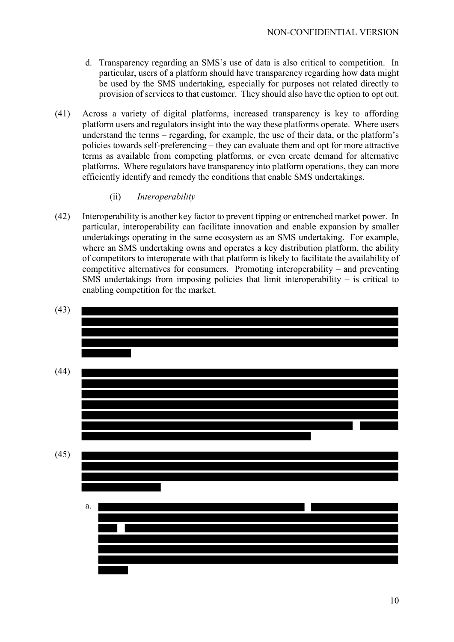- d. Transparency regarding an SMS's use of data is also critical to competition. In particular, users of a platform should have transparency regarding how data might be used by the SMS undertaking, especially for purposes not related directly to provision of services to that customer. They should also have the option to opt out.
- (41) Across a variety of digital platforms, increased transparency is key to affording platform users and regulators insight into the way these platforms operate. Where users understand the terms – regarding, for example, the use of their data, or the platform's policies towards self-preferencing – they can evaluate them and opt for more attractive terms as available from competing platforms, or even create demand for alternative platforms. Where regulators have transparency into platform operations, they can more efficiently identify and remedy the conditions that enable SMS undertakings.
	- (ii) *Interoperability*
- (42) Interoperability is another key factor to prevent tipping or entrenched market power. In particular, interoperability can facilitate innovation and enable expansion by smaller undertakings operating in the same ecosystem as an SMS undertaking. For example, where an SMS undertaking owns and operates a key distribution platform, the ability of competitors to interoperate with that platform is likely to facilitate the availability of competitive alternatives for consumers. Promoting interoperability – and preventing SMS undertakings from imposing policies that limit interoperability  $-$  is critical to enabling competition for the market.

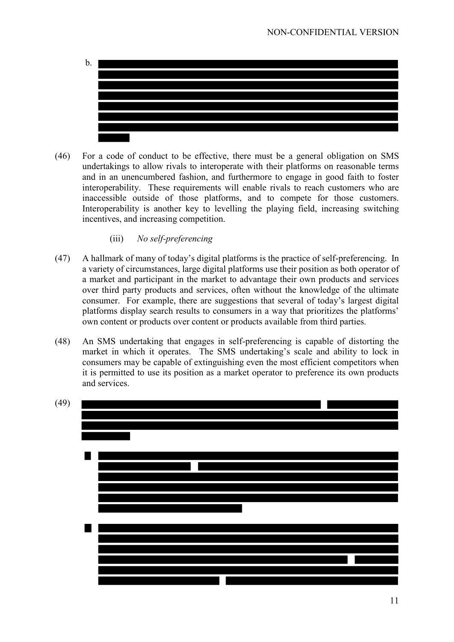

- (46) For a code of conduct to be effective, there must be a general obligation on SMS undertakings to allow rivals to interoperate with their platforms on reasonable terms and in an unencumbered fashion, and furthermore to engage in good faith to foster interoperability. These requirements will enable rivals to reach customers who are inaccessible outside of those platforms, and to compete for those customers. Interoperability is another key to levelling the playing field, increasing switching incentives, and increasing competition.
	- (iii) *No self-preferencing*
- (47) A hallmark of many of today's digital platforms is the practice of self-preferencing. In a variety of circumstances, large digital platforms use their position as both operator of a market and participant in the market to advantage their own products and services over third party products and services, often without the knowledge of the ultimate consumer. For example, there are suggestions that several of today's largest digital platforms display search results to consumers in a way that prioritizes the platforms' own content or products over content or products available from third parties.
- (48) An SMS undertaking that engages in self-preferencing is capable of distorting the market in which it operates. The SMS undertaking's scale and ability to lock in consumers may be capable of extinguishing even the most efficient competitors when it is permitted to use its position as a market operator to preference its own products and services.

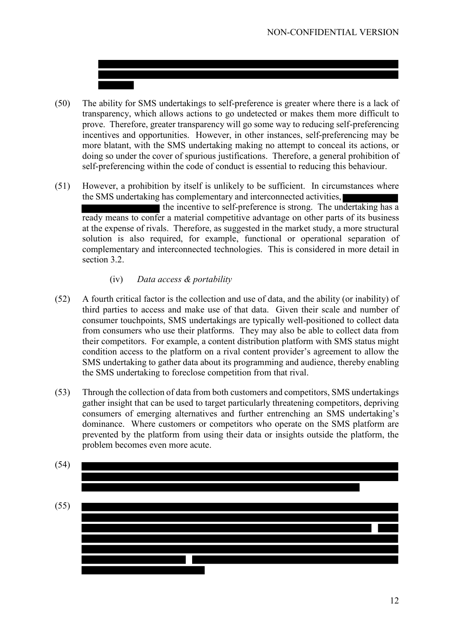- (50) The ability for SMS undertakings to self-preference is greater where there is a lack of transparency, which allows actions to go undetected or makes them more difficult to prove. Therefore, greater transparency will go some way to reducing self-preferencing incentives and opportunities. However, in other instances, self-preferencing may be more blatant, with the SMS undertaking making no attempt to conceal its actions, or doing so under the cover of spurious justifications. Therefore, a general prohibition of self-preferencing within the code of conduct is essential to reducing this behaviour.
- (51) However, a prohibition by itself is unlikely to be sufficient. In circumstances where the SMS undertaking has complementary and interconnected activities, the incentive to self-preference is strong. The undertaking has a ready means to confer a material competitive advantage on other parts of its business at the expense of rivals. Therefore, as suggested in the market study, a more structural solution is also required, for example, functional or operational separation of complementary and interconnected technologies. This is considered in more detail in section 3.2.
	- (iv) *Data access & portability*
- (52) A fourth critical factor is the collection and use of data, and the ability (or inability) of third parties to access and make use of that data. Given their scale and number of consumer touchpoints, SMS undertakings are typically well-positioned to collect data from consumers who use their platforms. They may also be able to collect data from their competitors. For example, a content distribution platform with SMS status might condition access to the platform on a rival content provider's agreement to allow the SMS undertaking to gather data about its programming and audience, thereby enabling the SMS undertaking to foreclose competition from that rival.
- (53) Through the collection of data from both customers and competitors, SMS undertakings gather insight that can be used to target particularly threatening competitors, depriving consumers of emerging alternatives and further entrenching an SMS undertaking's dominance. Where customers or competitors who operate on the SMS platform are prevented by the platform from using their data or insights outside the platform, the problem becomes even more acute.

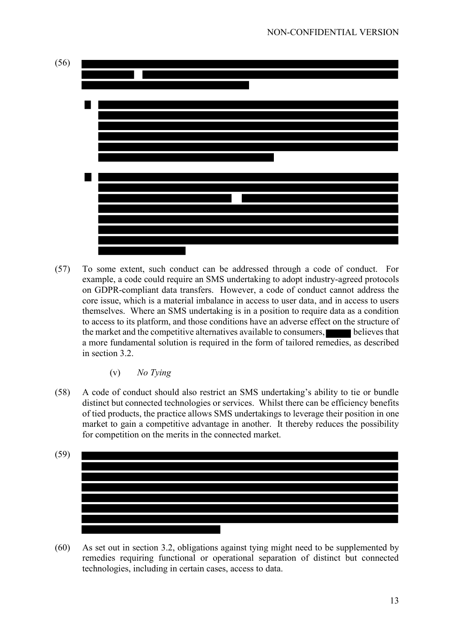

(57) To some extent, such conduct can be addressed through a code of conduct. For example, a code could require an SMS undertaking to adopt industry-agreed protocols on GDPR-compliant data transfers. However, a code of conduct cannot address the core issue, which is a material imbalance in access to user data, and in access to users themselves. Where an SMS undertaking is in a position to require data as a condition to access to its platform, and those conditions have an adverse effect on the structure of the market and the competitive alternatives available to consumers, believes that a more fundamental solution is required in the form of tailored remedies, as described in section 3.2.

(v) *No Tying*

(58) A code of conduct should also restrict an SMS undertaking's ability to tie or bundle distinct but connected technologies or services. Whilst there can be efficiency benefits of tied products, the practice allows SMS undertakings to leverage their position in one market to gain a competitive advantage in another. It thereby reduces the possibility for competition on the merits in the connected market.



(60) As set out in section 3.2, obligations against tying might need to be supplemented by remedies requiring functional or operational separation of distinct but connected technologies, including in certain cases, access to data.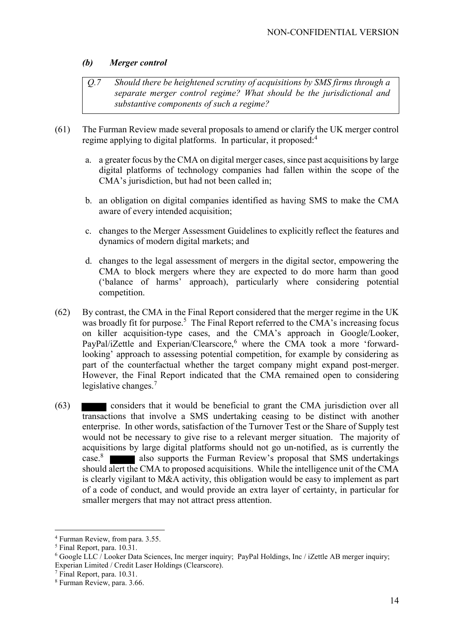#### *(b) Merger control*

- *Q.7 Should there be heightened scrutiny of acquisitions by SMS firms through a separate merger control regime? What should be the jurisdictional and substantive components of such a regime?*
- (61) The Furman Review made several proposals to amend or clarify the UK merger control regime applying to digital platforms. In particular, it proposed:<sup>4</sup>
	- a. a greater focus by the CMA on digital merger cases, since past acquisitions by large digital platforms of technology companies had fallen within the scope of the CMA's jurisdiction, but had not been called in;
	- b. an obligation on digital companies identified as having SMS to make the CMA aware of every intended acquisition;
	- c. changes to the Merger Assessment Guidelines to explicitly reflect the features and dynamics of modern digital markets; and
	- d. changes to the legal assessment of mergers in the digital sector, empowering the CMA to block mergers where they are expected to do more harm than good ('balance of harms' approach), particularly where considering potential competition.
- (62) By contrast, the CMA in the Final Report considered that the merger regime in the UK was broadly fit for purpose.<sup>5</sup> The Final Report referred to the CMA's increasing focus on killer acquisition-type cases, and the CMA's approach in Google/Looker, PayPal/iZettle and Experian/Clearscore,<sup>6</sup> where the CMA took a more 'forwardlooking' approach to assessing potential competition, for example by considering as part of the counterfactual whether the target company might expand post-merger. However, the Final Report indicated that the CMA remained open to considering legislative changes.<sup>7</sup>
- (63) considers that it would be beneficial to grant the CMA jurisdiction over all transactions that involve a SMS undertaking ceasing to be distinct with another enterprise. In other words, satisfaction of the Turnover Test or the Share of Supply test would not be necessary to give rise to a relevant merger situation. The majority of acquisitions by large digital platforms should not go un-notified, as is currently the case.<sup>8</sup> also supports the Furman Review's proposal that SMS undertakings should alert the CMA to proposed acquisitions. While the intelligence unit of the CMA is clearly vigilant to M&A activity, this obligation would be easy to implement as part of a code of conduct, and would provide an extra layer of certainty, in particular for smaller mergers that may not attract press attention.

<sup>4</sup> Furman Review, from para. 3.55.

<sup>5</sup> Final Report, para. 10.31.

 $6$  Google LLC / Looker Data Sciences, Inc merger inquiry; PayPal Holdings, Inc / iZettle AB merger inquiry; Experian Limited / Credit Laser Holdings (Clearscore).

<sup>7</sup> Final Report, para. 10.31.

<sup>8</sup> Furman Review, para. 3.66.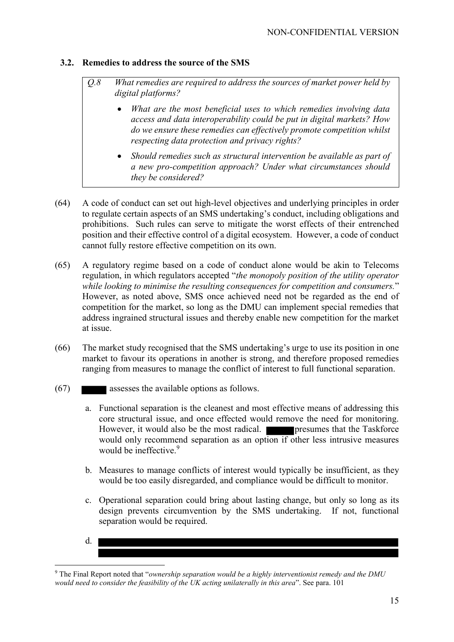### **3.2. Remedies to address the source of the SMS**

- *Q.8 What remedies are required to address the sources of market power held by digital platforms?*
	- *What are the most beneficial uses to which remedies involving data access and data interoperability could be put in digital markets? How do we ensure these remedies can effectively promote competition whilst respecting data protection and privacy rights?*
	- *Should remedies such as structural intervention be available as part of a new pro-competition approach? Under what circumstances should they be considered?*
- (64) A code of conduct can set out high-level objectives and underlying principles in order to regulate certain aspects of an SMS undertaking's conduct, including obligations and prohibitions. Such rules can serve to mitigate the worst effects of their entrenched position and their effective control of a digital ecosystem. However, a code of conduct cannot fully restore effective competition on its own.
- (65) A regulatory regime based on a code of conduct alone would be akin to Telecoms regulation, in which regulators accepted "*the monopoly position of the utility operator while looking to minimise the resulting consequences for competition and consumers.*" However, as noted above, SMS once achieved need not be regarded as the end of competition for the market, so long as the DMU can implement special remedies that address ingrained structural issues and thereby enable new competition for the market at issue.
- (66) The market study recognised that the SMS undertaking's urge to use its position in one market to favour its operations in another is strong, and therefore proposed remedies ranging from measures to manage the conflict of interest to full functional separation.
- (67) assesses the available options as follows.
	- a. Functional separation is the cleanest and most effective means of addressing this core structural issue, and once effected would remove the need for monitoring. However, it would also be the most radical. **presumes that the Taskforce** would only recommend separation as an option if other less intrusive measures would be ineffective. 9
	- b. Measures to manage conflicts of interest would typically be insufficient, as they would be too easily disregarded, and compliance would be difficult to monitor.
	- c. Operational separation could bring about lasting change, but only so long as its design prevents circumvention by the SMS undertaking. If not, functional separation would be required.
	- d.

<sup>9</sup> The Final Report noted that "*ownership separation would be a highly interventionist remedy and the DMU would need to consider the feasibility of the UK acting unilaterally in this area*". See para. 101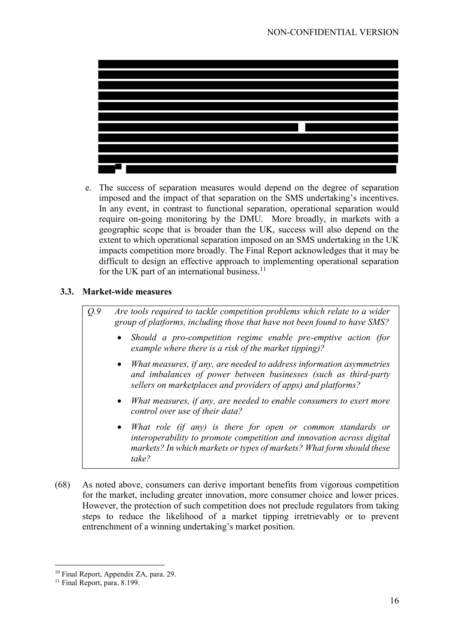

e. The success of separation measures would depend on the degree of separation imposed and the impact of that separation on the SMS undertaking's incentives. In any event, in contrast to functional separation, operational separation would require on-going monitoring by the DMU. More broadly, in markets with a geographic scope that is broader than the UK, success will also depend on the extent to which operational separation imposed on an SMS undertaking in the UK impacts competition more broadly. The Final Report acknowledges that it may be difficult to design an effective approach to implementing operational separation for the UK part of an international business. $^{11}$ 

### **3.3. Market-wide measures**

*Q.9 Are tools required to tackle competition problems which relate to a wider group of platforms, including those that have not been found to have SMS?*

- *Should a pro-competition regime enable pre-emptive action (for example where there is a risk of the market tipping)?*
- *What measures, if any, are needed to address information asymmetries and imbalances of power between businesses (such as third-party sellers on marketplaces and providers of apps) and platforms?*
- *What measures, if any, are needed to enable consumers to exert more control over use of their data?*
- *What role (if any) is there for open or common standards or interoperability to promote competition and innovation across digital markets? In which markets or types of markets? What form should these take?*
- (68) As noted above, consumers can derive important benefits from vigorous competition for the market, including greater innovation, more consumer choice and lower prices. However, the protection of such competition does not preclude regulators from taking steps to reduce the likelihood of a market tipping irretrievably or to prevent entrenchment of a winning undertaking's market position.

<sup>&</sup>lt;sup>10</sup> Final Report, Appendix ZA, para. 29.

<sup>&</sup>lt;sup>11</sup> Final Report, para. 8.199.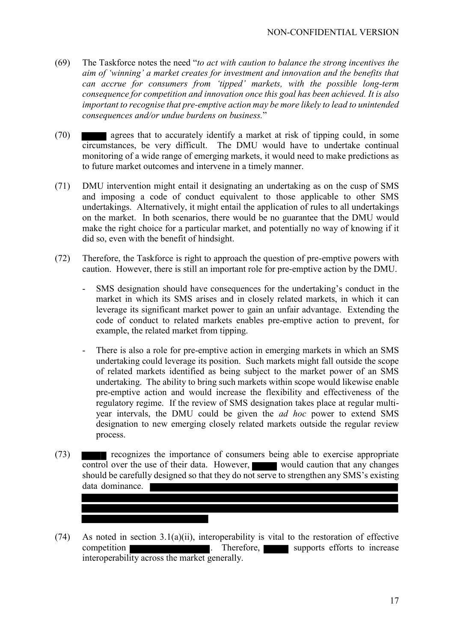- (69) The Taskforce notes the need "*to act with caution to balance the strong incentives the aim of 'winning' a market creates for investment and innovation and the benefits that can accrue for consumers from 'tipped' markets, with the possible long-term consequence for competition and innovation once this goal has been achieved. It is also important to recognise that pre-emptive action may be more likely to lead to unintended consequences and/or undue burdens on business.*"
- (70) agrees that to accurately identify a market at risk of tipping could, in some circumstances, be very difficult. The DMU would have to undertake continual monitoring of a wide range of emerging markets, it would need to make predictions as to future market outcomes and intervene in a timely manner.
- (71) DMU intervention might entail it designating an undertaking as on the cusp of SMS and imposing a code of conduct equivalent to those applicable to other SMS undertakings. Alternatively, it might entail the application of rules to all undertakings on the market. In both scenarios, there would be no guarantee that the DMU would make the right choice for a particular market, and potentially no way of knowing if it did so, even with the benefit of hindsight.
- (72) Therefore, the Taskforce is right to approach the question of pre-emptive powers with caution. However, there is still an important role for pre-emptive action by the DMU.
	- SMS designation should have consequences for the undertaking's conduct in the market in which its SMS arises and in closely related markets, in which it can leverage its significant market power to gain an unfair advantage. Extending the code of conduct to related markets enables pre-emptive action to prevent, for example, the related market from tipping.
	- There is also a role for pre-emptive action in emerging markets in which an SMS undertaking could leverage its position. Such markets might fall outside the scope of related markets identified as being subject to the market power of an SMS undertaking. The ability to bring such markets within scope would likewise enable pre-emptive action and would increase the flexibility and effectiveness of the regulatory regime. If the review of SMS designation takes place at regular multiyear intervals, the DMU could be given the *ad hoc* power to extend SMS designation to new emerging closely related markets outside the regular review process.
- (73) recognizes the importance of consumers being able to exercise appropriate control over the use of their data. However, would caution that any changes should be carefully designed so that they do not serve to strengthen any SMS's existing data dominance.
- (74) As noted in section 3.1(a)(ii), interoperability is vital to the restoration of effective competition **competition** . Therefore, supports efforts to increase interoperability across the market generally.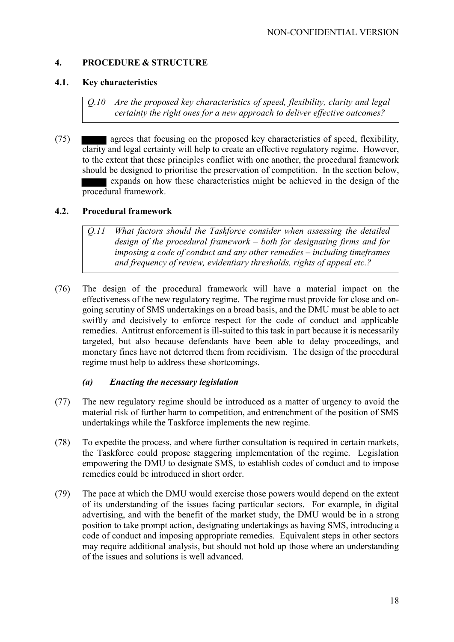## **4. PROCEDURE & STRUCTURE**

#### **4.1. Key characteristics**

*Q.10 Are the proposed key characteristics of speed, flexibility, clarity and legal certainty the right ones for a new approach to deliver effective outcomes?*

(75) agrees that focusing on the proposed key characteristics of speed, flexibility, clarity and legal certainty will help to create an effective regulatory regime. However, to the extent that these principles conflict with one another, the procedural framework should be designed to prioritise the preservation of competition. In the section below, expands on how these characteristics might be achieved in the design of the procedural framework.

### **4.2. Procedural framework**

*Q.11 What factors should the Taskforce consider when assessing the detailed design of the procedural framework – both for designating firms and for imposing a code of conduct and any other remedies – including timeframes and frequency of review, evidentiary thresholds, rights of appeal etc.?*

(76) The design of the procedural framework will have a material impact on the effectiveness of the new regulatory regime. The regime must provide for close and ongoing scrutiny of SMS undertakings on a broad basis, and the DMU must be able to act swiftly and decisively to enforce respect for the code of conduct and applicable remedies. Antitrust enforcement is ill-suited to this task in part because it is necessarily targeted, but also because defendants have been able to delay proceedings, and monetary fines have not deterred them from recidivism. The design of the procedural regime must help to address these shortcomings.

#### *(a) Enacting the necessary legislation*

- (77) The new regulatory regime should be introduced as a matter of urgency to avoid the material risk of further harm to competition, and entrenchment of the position of SMS undertakings while the Taskforce implements the new regime.
- (78) To expedite the process, and where further consultation is required in certain markets, the Taskforce could propose staggering implementation of the regime. Legislation empowering the DMU to designate SMS, to establish codes of conduct and to impose remedies could be introduced in short order.
- (79) The pace at which the DMU would exercise those powers would depend on the extent of its understanding of the issues facing particular sectors. For example, in digital advertising, and with the benefit of the market study, the DMU would be in a strong position to take prompt action, designating undertakings as having SMS, introducing a code of conduct and imposing appropriate remedies. Equivalent steps in other sectors may require additional analysis, but should not hold up those where an understanding of the issues and solutions is well advanced.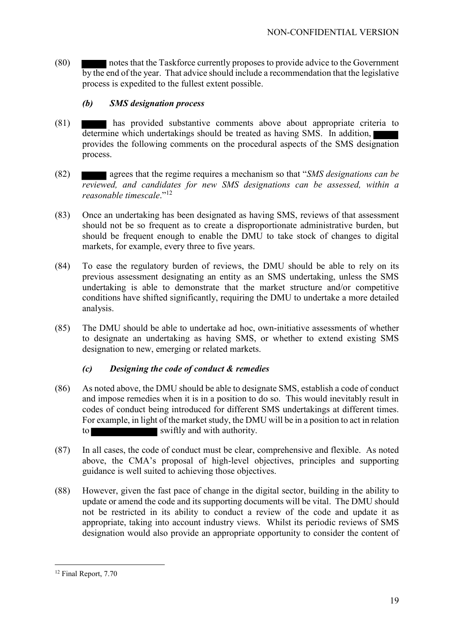(80) notes that the Taskforce currently proposes to provide advice to the Government by the end of the year. That advice should include a recommendation that the legislative process is expedited to the fullest extent possible.

## *(b) SMS designation process*

- (81) has provided substantive comments above about appropriate criteria to determine which undertakings should be treated as having SMS. In addition, provides the following comments on the procedural aspects of the SMS designation process.
- (82) agrees that the regime requires a mechanism so that "*SMS designations can be reviewed, and candidates for new SMS designations can be assessed, within a reasonable timescale*."<sup>12</sup>
- (83) Once an undertaking has been designated as having SMS, reviews of that assessment should not be so frequent as to create a disproportionate administrative burden, but should be frequent enough to enable the DMU to take stock of changes to digital markets, for example, every three to five years.
- (84) To ease the regulatory burden of reviews, the DMU should be able to rely on its previous assessment designating an entity as an SMS undertaking, unless the SMS undertaking is able to demonstrate that the market structure and/or competitive conditions have shifted significantly, requiring the DMU to undertake a more detailed analysis.
- (85) The DMU should be able to undertake ad hoc, own-initiative assessments of whether to designate an undertaking as having SMS, or whether to extend existing SMS designation to new, emerging or related markets.

# *(c) Designing the code of conduct & remedies*

- (86) As noted above, the DMU should be able to designate SMS, establish a code of conduct and impose remedies when it is in a position to do so. This would inevitably result in codes of conduct being introduced for different SMS undertakings at different times. For example, in light of the market study, the DMU will be in a position to act in relation to swiftly and with authority.
- (87) In all cases, the code of conduct must be clear, comprehensive and flexible. As noted above, the CMA's proposal of high-level objectives, principles and supporting guidance is well suited to achieving those objectives.
- (88) However, given the fast pace of change in the digital sector, building in the ability to update or amend the code and its supporting documents will be vital. The DMU should not be restricted in its ability to conduct a review of the code and update it as appropriate, taking into account industry views. Whilst its periodic reviews of SMS designation would also provide an appropriate opportunity to consider the content of

<sup>12</sup> Final Report, 7.70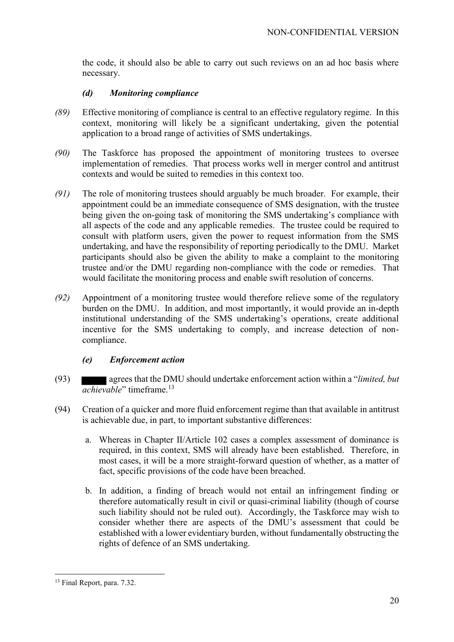the code, it should also be able to carry out such reviews on an ad hoc basis where necessary.

### *(d) Monitoring compliance*

- *(89)* Effective monitoring of compliance is central to an effective regulatory regime. In this context, monitoring will likely be a significant undertaking, given the potential application to a broad range of activities of SMS undertakings.
- *(90)* The Taskforce has proposed the appointment of monitoring trustees to oversee implementation of remedies. That process works well in merger control and antitrust contexts and would be suited to remedies in this context too.
- *(91)* The role of monitoring trustees should arguably be much broader. For example, their appointment could be an immediate consequence of SMS designation, with the trustee being given the on-going task of monitoring the SMS undertaking's compliance with all aspects of the code and any applicable remedies. The trustee could be required to consult with platform users, given the power to request information from the SMS undertaking, and have the responsibility of reporting periodically to the DMU. Market participants should also be given the ability to make a complaint to the monitoring trustee and/or the DMU regarding non-compliance with the code or remedies. That would facilitate the monitoring process and enable swift resolution of concerns.
- *(92)* Appointment of a monitoring trustee would therefore relieve some of the regulatory burden on the DMU. In addition, and most importantly, it would provide an in-depth institutional understanding of the SMS undertaking's operations, create additional incentive for the SMS undertaking to comply, and increase detection of noncompliance.

# *(e) Enforcement action*

- (93) agrees that the DMU should undertake enforcement action within a "*limited, but achievable*" timeframe.<sup>13</sup>
- (94) Creation of a quicker and more fluid enforcement regime than that available in antitrust is achievable due, in part, to important substantive differences:
	- a. Whereas in Chapter II/Article 102 cases a complex assessment of dominance is required, in this context, SMS will already have been established. Therefore, in most cases, it will be a more straight-forward question of whether, as a matter of fact, specific provisions of the code have been breached.
	- b. In addition, a finding of breach would not entail an infringement finding or therefore automatically result in civil or quasi-criminal liability (though of course such liability should not be ruled out). Accordingly, the Taskforce may wish to consider whether there are aspects of the DMU's assessment that could be established with a lower evidentiary burden, without fundamentally obstructing the rights of defence of an SMS undertaking.

<sup>13</sup> Final Report, para. 7.32.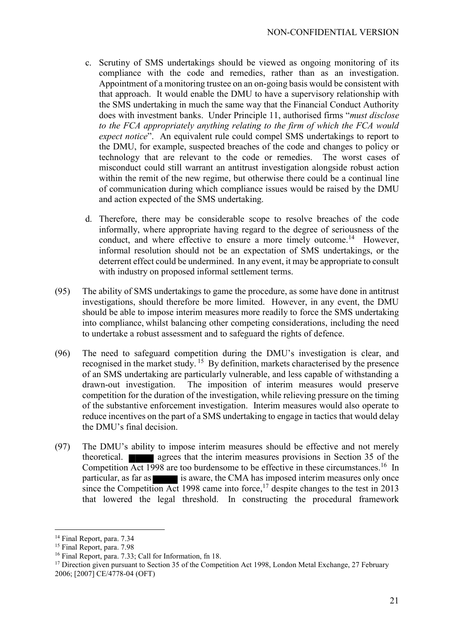- c. Scrutiny of SMS undertakings should be viewed as ongoing monitoring of its compliance with the code and remedies, rather than as an investigation. Appointment of a monitoring trustee on an on-going basis would be consistent with that approach. It would enable the DMU to have a supervisory relationship with the SMS undertaking in much the same way that the Financial Conduct Authority does with investment banks. Under Principle 11, authorised firms "*must disclose to the FCA appropriately anything relating to the firm of which the FCA would expect notice*". An equivalent rule could compel SMS undertakings to report to the DMU, for example, suspected breaches of the code and changes to policy or technology that are relevant to the code or remedies. The worst cases of misconduct could still warrant an antitrust investigation alongside robust action within the remit of the new regime, but otherwise there could be a continual line of communication during which compliance issues would be raised by the DMU and action expected of the SMS undertaking.
- d. Therefore, there may be considerable scope to resolve breaches of the code informally, where appropriate having regard to the degree of seriousness of the conduct, and where effective to ensure a more timely outcome.<sup>14</sup> However, informal resolution should not be an expectation of SMS undertakings, or the deterrent effect could be undermined. In any event, it may be appropriate to consult with industry on proposed informal settlement terms.
- (95) The ability of SMS undertakings to game the procedure, as some have done in antitrust investigations, should therefore be more limited. However, in any event, the DMU should be able to impose interim measures more readily to force the SMS undertaking into compliance, whilst balancing other competing considerations, including the need to undertake a robust assessment and to safeguard the rights of defence.
- (96) The need to safeguard competition during the DMU's investigation is clear, and recognised in the market study. <sup>15</sup> By definition, markets characterised by the presence of an SMS undertaking are particularly vulnerable, and less capable of withstanding a drawn-out investigation. The imposition of interim measures would preserve competition for the duration of the investigation, while relieving pressure on the timing of the substantive enforcement investigation. Interim measures would also operate to reduce incentives on the part of a SMS undertaking to engage in tactics that would delay the DMU's final decision.
- (97) The DMU's ability to impose interim measures should be effective and not merely theoretical. agrees that the interim measures provisions in Section 35 of the Competition Act 1998 are too burdensome to be effective in these circumstances.<sup>16</sup> In particular, as far as is aware, the CMA has imposed interim measures only once since the Competition Act 1998 came into force,<sup>17</sup> despite changes to the test in 2013 that lowered the legal threshold. In constructing the procedural framework

<sup>&</sup>lt;sup>14</sup> Final Report, para. 7.34

<sup>&</sup>lt;sup>15</sup> Final Report, para. 7.98

<sup>16</sup> Final Report, para. 7.33; Call for Information, fn 18.

<sup>&</sup>lt;sup>17</sup> Direction given pursuant to Section 35 of the Competition Act 1998, London Metal Exchange, 27 February 2006; [2007] CE/4778-04 (OFT)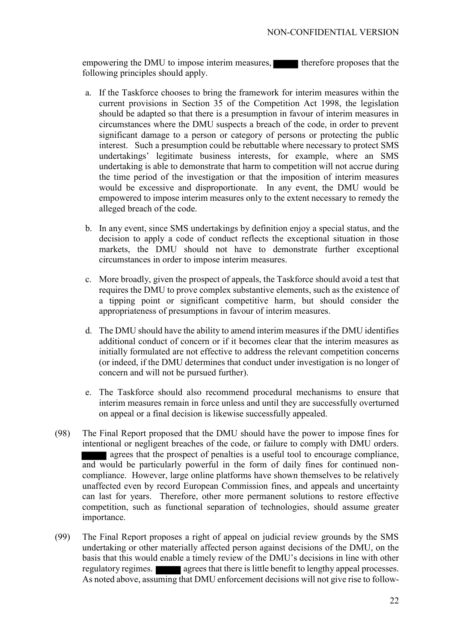empowering the DMU to impose interim measures, therefore proposes that the following principles should apply.

- a. If the Taskforce chooses to bring the framework for interim measures within the current provisions in Section 35 of the Competition Act 1998, the legislation should be adapted so that there is a presumption in favour of interim measures in circumstances where the DMU suspects a breach of the code, in order to prevent significant damage to a person or category of persons or protecting the public interest. Such a presumption could be rebuttable where necessary to protect SMS undertakings' legitimate business interests, for example, where an SMS undertaking is able to demonstrate that harm to competition will not accrue during the time period of the investigation or that the imposition of interim measures would be excessive and disproportionate. In any event, the DMU would be empowered to impose interim measures only to the extent necessary to remedy the alleged breach of the code.
- b. In any event, since SMS undertakings by definition enjoy a special status, and the decision to apply a code of conduct reflects the exceptional situation in those markets, the DMU should not have to demonstrate further exceptional circumstances in order to impose interim measures.
- c. More broadly, given the prospect of appeals, the Taskforce should avoid a test that requires the DMU to prove complex substantive elements, such as the existence of a tipping point or significant competitive harm, but should consider the appropriateness of presumptions in favour of interim measures.
- d. The DMU should have the ability to amend interim measures if the DMU identifies additional conduct of concern or if it becomes clear that the interim measures as initially formulated are not effective to address the relevant competition concerns (or indeed, if the DMU determines that conduct under investigation is no longer of concern and will not be pursued further).
- e. The Taskforce should also recommend procedural mechanisms to ensure that interim measures remain in force unless and until they are successfully overturned on appeal or a final decision is likewise successfully appealed.
- (98) The Final Report proposed that the DMU should have the power to impose fines for intentional or negligent breaches of the code, or failure to comply with DMU orders. agrees that the prospect of penalties is a useful tool to encourage compliance, and would be particularly powerful in the form of daily fines for continued noncompliance. However, large online platforms have shown themselves to be relatively unaffected even by record European Commission fines, and appeals and uncertainty can last for years. Therefore, other more permanent solutions to restore effective competition, such as functional separation of technologies, should assume greater importance.
- (99) The Final Report proposes a right of appeal on judicial review grounds by the SMS undertaking or other materially affected person against decisions of the DMU, on the basis that this would enable a timely review of the DMU's decisions in line with other regulatory regimes. **also agrees that there is little benefit to lengthy appeal processes.** As noted above, assuming that DMU enforcement decisions will not give rise to follow-